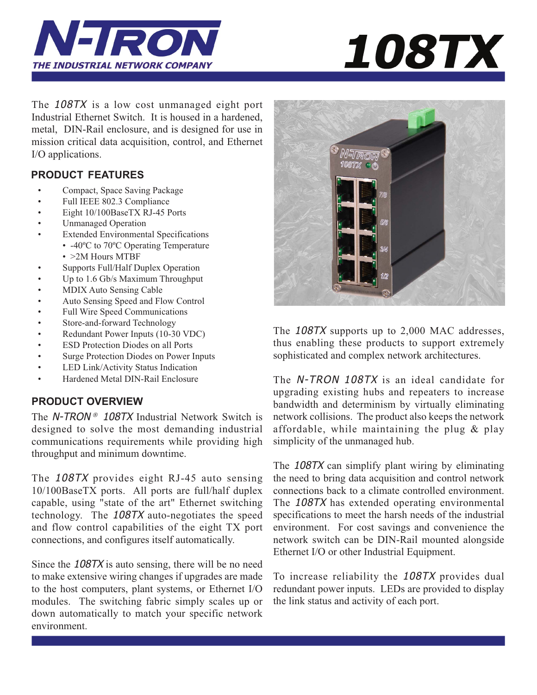



The 108TX is a low cost unmanaged eight port Industrial Ethernet Switch. It is housed in a hardened, metal, DIN-Rail enclosure, and is designed for use in mission critical data acquisition, control, and Ethernet I/O applications.

# **PRODUCT FEATURES**

- Compact, Space Saving Package
- Full IEEE 802.3 Compliance
- Eight 10/100BaseTX RJ-45 Ports
- Unmanaged Operation
- Extended Environmental Specifications
	- -40°C to 70°C Operating Temperature • >2M Hours MTBF
- Supports Full/Half Duplex Operation
- Up to 1.6 Gb/s Maximum Throughput
- MDIX Auto Sensing Cable
- Auto Sensing Speed and Flow Control
- Full Wire Speed Communications
- Store-and-forward Technology
- Redundant Power Inputs (10-30 VDC)
- **ESD Protection Diodes on all Ports**
- Surge Protection Diodes on Power Inputs
- LED Link/Activity Status Indication
- Hardened Metal DIN-Rail Enclosure

# **PRODUCT OVERVIEW**

The N-TRON<sup>®</sup> 108TX Industrial Network Switch is designed to solve the most demanding industrial communications requirements while providing high throughput and minimum downtime.

The 108TX provides eight RJ-45 auto sensing 10/100BaseTX ports. All ports are full/half duplex capable, using "state of the art" Ethernet switching technology. The 108TX auto-negotiates the speed and flow control capabilities of the eight TX port connections, and configures itself automatically.

Since the 108TX is auto sensing, there will be no need to make extensive wiring changes if upgrades are made to the host computers, plant systems, or Ethernet I/O modules. The switching fabric simply scales up or down automatically to match your specific network environment.



The 108TX supports up to 2,000 MAC addresses, thus enabling these products to support extremely sophisticated and complex network architectures.

The N-TRON 108TX is an ideal candidate for upgrading existing hubs and repeaters to increase bandwidth and determinism by virtually eliminating network collisions. The product also keeps the network affordable, while maintaining the plug & play simplicity of the unmanaged hub.

The 108TX can simplify plant wiring by eliminating the need to bring data acquisition and control network connections back to a climate controlled environment. The 108TX has extended operating environmental specifications to meet the harsh needs of the industrial environment. For cost savings and convenience the network switch can be DIN-Rail mounted alongside Ethernet I/O or other Industrial Equipment.

To increase reliability the 108TX provides dual redundant power inputs. LEDs are provided to display the link status and activity of each port.